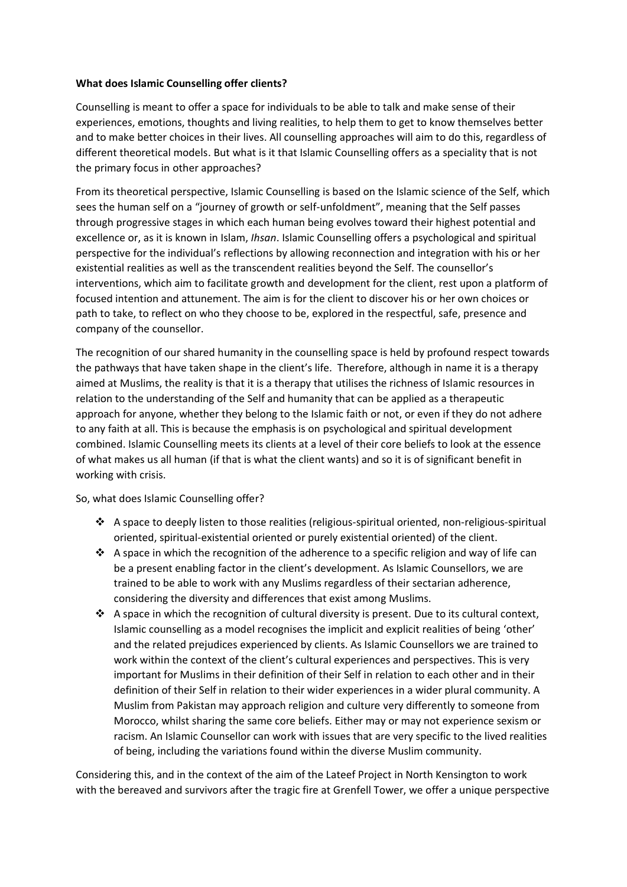## **What does Islamic Counselling offer clients?**

Counselling is meant to offer a space for individuals to be able to talk and make sense of their experiences, emotions, thoughts and living realities, to help them to get to know themselves better and to make better choices in their lives. All counselling approaches will aim to do this, regardless of different theoretical models. But what is it that Islamic Counselling offers as a speciality that is not the primary focus in other approaches?

From its theoretical perspective, Islamic Counselling is based on the Islamic science of the Self, which sees the human self on a "journey of growth or self-unfoldment", meaning that the Self passes through progressive stages in which each human being evolves toward their highest potential and excellence or, as it is known in Islam, *Ihsan*. Islamic Counselling offers a psychological and spiritual perspective for the individual's reflections by allowing reconnection and integration with his or her existential realities as well as the transcendent realities beyond the Self. The counsellor's interventions, which aim to facilitate growth and development for the client, rest upon a platform of focused intention and attunement. The aim is for the client to discover his or her own choices or path to take, to reflect on who they choose to be, explored in the respectful, safe, presence and company of the counsellor.

The recognition of our shared humanity in the counselling space is held by profound respect towards the pathways that have taken shape in the client's life. Therefore, although in name it is a therapy aimed at Muslims, the reality is that it is a therapy that utilises the richness of Islamic resources in relation to the understanding of the Self and humanity that can be applied as a therapeutic approach for anyone, whether they belong to the Islamic faith or not, or even if they do not adhere to any faith at all. This is because the emphasis is on psychological and spiritual development combined. Islamic Counselling meets its clients at a level of their core beliefs to look at the essence of what makes us all human (if that is what the client wants) and so it is of significant benefit in working with crisis.

So, what does Islamic Counselling offer?

- ❖ A space to deeply listen to those realities (religious-spiritual oriented, non-religious-spiritual oriented, spiritual-existential oriented or purely existential oriented) of the client.
- ❖ A space in which the recognition of the adherence to a specific religion and way of life can be a present enabling factor in the client's development. As Islamic Counsellors, we are trained to be able to work with any Muslims regardless of their sectarian adherence, considering the diversity and differences that exist among Muslims.
- ◆ A space in which the recognition of cultural diversity is present. Due to its cultural context, Islamic counselling as a model recognises the implicit and explicit realities of being 'other' and the related prejudices experienced by clients. As Islamic Counsellors we are trained to work within the context of the client's cultural experiences and perspectives. This is very important for Muslims in their definition of their Self in relation to each other and in their definition of their Self in relation to their wider experiences in a wider plural community. A Muslim from Pakistan may approach religion and culture very differently to someone from Morocco, whilst sharing the same core beliefs. Either may or may not experience sexism or racism. An Islamic Counsellor can work with issues that are very specific to the lived realities of being, including the variations found within the diverse Muslim community.

Considering this, and in the context of the aim of the Lateef Project in North Kensington to work with the bereaved and survivors after the tragic fire at Grenfell Tower, we offer a unique perspective